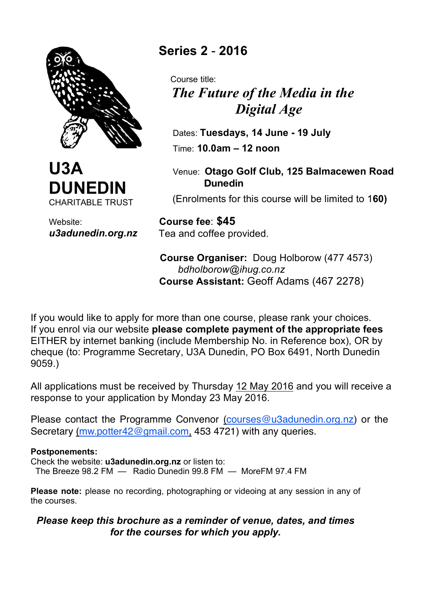



Website: *u3adunedin.org.nz* **Series 2** - **2016** 

 Course title:  *The Future of the Media in the Digital Age*

 Dates: **Tuesdays, 14 June - 19 July** Time: **10.0am – 12 noon**

 Venue: **Otago Golf Club, 125 Balmacewen Road Dunedin**

(Enrolments for this course will be limited to 1**60)**

 **Course fee**: **\$45** Tea and coffee provided.

 **Course Organiser:** Doug Holborow (477 4573) *bdholborow@ihug.co.nz*  **Course Assistant:** Geoff Adams (467 2278)

If you would like to apply for more than one course, please rank your choices. If you enrol via our website **please complete payment of the appropriate fees** EITHER by internet banking (include Membership No. in Reference box), OR by cheque (to: Programme Secretary, U3A Dunedin, PO Box 6491, North Dunedin 9059.)

All applications must be received by Thursday 12 May 2016 and you will receive a response to your application by Monday 23 May 2016.

Please contact the Programme Convenor (courses@u3adunedin.org.nz) or the Secretary (mw.potter42@gmail.com, 453 4721) with any queries.

## **Postponements:**

Check the website: **u3adunedin.org.nz** or listen to:

The Breeze 98.2 FM — Radio Dunedin 99.8 FM — MoreFM 97.4 FM

**Please note:** please no recording, photographing or videoing at any session in any of the courses.

## *Please keep this brochure as a reminder of venue, dates, and times for the courses for which you apply.*